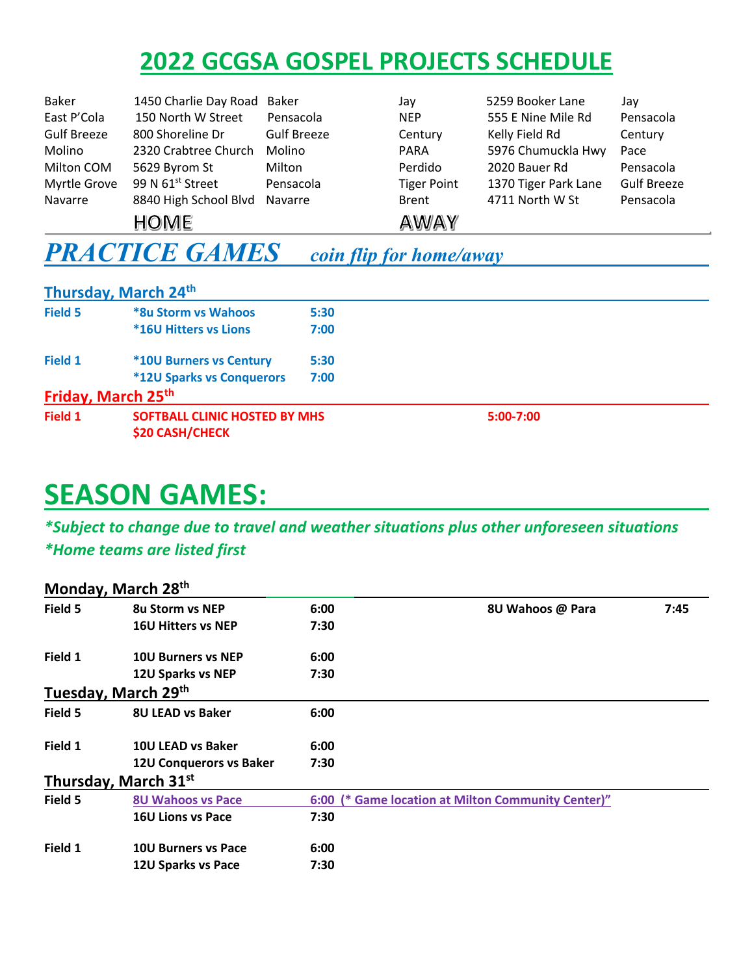## **2022 GCGSA GOSPEL PROJECTS SCHEDULE**

| Baker              | 1450 Charlie Day Road Baker  |                    | Jav                | 5259 Booker Lane     | Jay                |
|--------------------|------------------------------|--------------------|--------------------|----------------------|--------------------|
| East P'Cola        | 150 North W Street           | Pensacola          | <b>NEP</b>         | 555 E Nine Mile Rd   | Pensacola          |
| <b>Gulf Breeze</b> | 800 Shoreline Dr             | <b>Gulf Breeze</b> | Century            | Kelly Field Rd       | Century            |
| Molino             | 2320 Crabtree Church         | Molino             | <b>PARA</b>        | 5976 Chumuckla Hwy   | Pace               |
| Milton COM         | 5629 Byrom St                | Milton             | Perdido            | 2020 Bauer Rd        | Pensacola          |
| Myrtle Grove       | 99 N 61 <sup>st</sup> Street | Pensacola          | <b>Tiger Point</b> | 1370 Tiger Park Lane | <b>Gulf Breeze</b> |
| Navarre            | 8840 High School Blvd        | Navarre            | <b>Brent</b>       | 4711 North W St      | Pensacola          |
|                    | HOME                         |                    | <b>AWAY</b>        |                      |                    |

## *PRACTICE GAMES coin flip for home/away*

|         | Thursday, March 24th                                    |      |           |  |
|---------|---------------------------------------------------------|------|-----------|--|
| Field 5 | *8u Storm vs Wahoos                                     | 5:30 |           |  |
|         | <b>*16U Hitters vs Lions</b>                            | 7:00 |           |  |
| Field 1 | <b>*10U Burners vs Century</b>                          | 5:30 |           |  |
|         | <b>*12U Sparks vs Conquerors</b>                        | 7:00 |           |  |
|         | Friday, March 25th                                      |      |           |  |
| Field 1 | SOFTBALL CLINIC HOSTED BY MHS<br><b>\$20 CASH/CHECK</b> |      | 5:00-7:00 |  |

## **SEASON GAMES:**

*\*Subject to change due to travel and weather situations plus other unforeseen situations \*Home teams are listed first*

|         | Monday, March 28th             |      |                                                    |      |
|---------|--------------------------------|------|----------------------------------------------------|------|
| Field 5 | <b>8u Storm vs NEP</b>         | 6:00 | 8U Wahoos @ Para                                   | 7:45 |
|         | <b>16U Hitters vs NEP</b>      | 7:30 |                                                    |      |
| Field 1 | <b>10U Burners vs NEP</b>      | 6:00 |                                                    |      |
|         | 12U Sparks vs NEP              | 7:30 |                                                    |      |
|         | Tuesday, March 29th            |      |                                                    |      |
| Field 5 | <b>8U LEAD vs Baker</b>        | 6:00 |                                                    |      |
| Field 1 | 10U LEAD vs Baker              | 6:00 |                                                    |      |
|         | <b>12U Conquerors vs Baker</b> | 7:30 |                                                    |      |
|         | Thursday, March 31st           |      |                                                    |      |
| Field 5 | <b>8U Wahoos vs Pace</b>       |      | 6:00 (* Game location at Milton Community Center)" |      |
|         | <b>16U Lions vs Pace</b>       | 7:30 |                                                    |      |
| Field 1 | <b>10U Burners vs Pace</b>     | 6:00 |                                                    |      |
|         | 12U Sparks vs Pace             | 7:30 |                                                    |      |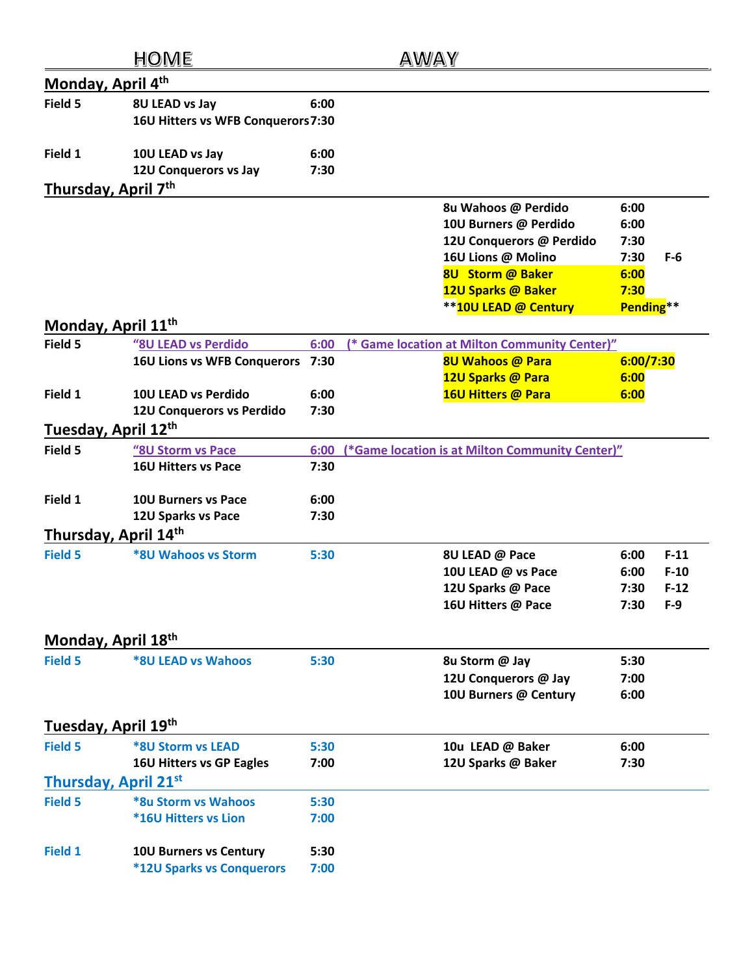|                                               | HOME                                                              |              | AWAY                                                                                                                                                             |                                                           |                                     |
|-----------------------------------------------|-------------------------------------------------------------------|--------------|------------------------------------------------------------------------------------------------------------------------------------------------------------------|-----------------------------------------------------------|-------------------------------------|
| Monday, April 4th                             |                                                                   |              |                                                                                                                                                                  |                                                           |                                     |
| Field 5                                       | 8U LEAD vs Jay<br>16U Hitters vs WFB Conquerors 7:30              | 6:00         |                                                                                                                                                                  |                                                           |                                     |
| Field 1                                       | 10U LEAD vs Jay<br>12U Conquerors vs Jay                          | 6:00<br>7:30 |                                                                                                                                                                  |                                                           |                                     |
| Thursday, April 7th                           |                                                                   |              |                                                                                                                                                                  |                                                           |                                     |
|                                               |                                                                   |              | 8u Wahoos @ Perdido<br>10U Burners @ Perdido<br>12U Conquerors @ Perdido<br>16U Lions @ Molino<br>8U Storm @ Baker<br>12U Sparks @ Baker<br>**10U LEAD @ Century | 6:00<br>6:00<br>7:30<br>7:30<br>6:00<br>7:30<br>Pending** | $F-6$                               |
| Monday, April 11 <sup>th</sup>                |                                                                   |              |                                                                                                                                                                  |                                                           |                                     |
| Field 5                                       | "8U LEAD vs Perdido<br><b>16U Lions vs WFB Conquerors</b>         | 6:00<br>7:30 | (* Game location at Milton Community Center)"<br><b>8U Wahoos @ Para</b><br>12U Sparks @ Para                                                                    | 6:00/7:30<br>6:00                                         |                                     |
| Field 1                                       | 10U LEAD vs Perdido<br>12U Conquerors vs Perdido                  | 6:00<br>7:30 | 16U Hitters @ Para                                                                                                                                               | 6:00                                                      |                                     |
| Tuesday, April 12th                           |                                                                   |              |                                                                                                                                                                  |                                                           |                                     |
| Field 5                                       | "8U Storm vs Pace<br><b>16U Hitters vs Pace</b>                   | 6:00<br>7:30 | (*Game location is at Milton Community Center)"                                                                                                                  |                                                           |                                     |
| Field 1                                       | <b>10U Burners vs Pace</b><br>12U Sparks vs Pace                  | 6:00<br>7:30 |                                                                                                                                                                  |                                                           |                                     |
| Thursday, April 14th                          |                                                                   |              |                                                                                                                                                                  |                                                           |                                     |
| <b>Field 5</b>                                | <b>*8U Wahoos vs Storm</b>                                        | 5:30         | 8U LEAD @ Pace<br>10U LEAD @ vs Pace<br>12U Sparks @ Pace<br>16U Hitters @ Pace                                                                                  | 6:00<br>6:00<br>7:30<br>7:30                              | $F-11$<br>$F-10$<br>$F-12$<br>$F-9$ |
| Monday, April 18th                            |                                                                   |              |                                                                                                                                                                  |                                                           |                                     |
| <b>Field 5</b>                                | <b>*8U LEAD vs Wahoos</b>                                         | 5:30         | 8u Storm @ Jay<br>12U Conquerors @ Jay<br>10U Burners @ Century                                                                                                  | 5:30<br>7:00<br>6:00                                      |                                     |
| Tuesday, April 19th                           |                                                                   |              |                                                                                                                                                                  |                                                           |                                     |
| <b>Field 5</b><br><b>Thursday, April 21st</b> | <b>*8U Storm vs LEAD</b><br><b>16U Hitters vs GP Eagles</b>       | 5:30<br>7:00 | 10u LEAD @ Baker<br>12U Sparks @ Baker                                                                                                                           | 6:00<br>7:30                                              |                                     |
| <b>Field 5</b>                                | *8u Storm vs Wahoos<br><b>*16U Hitters vs Lion</b>                | 5:30<br>7:00 |                                                                                                                                                                  |                                                           |                                     |
| <b>Field 1</b>                                | <b>10U Burners vs Century</b><br><b>*12U Sparks vs Conquerors</b> | 5:30<br>7:00 |                                                                                                                                                                  |                                                           |                                     |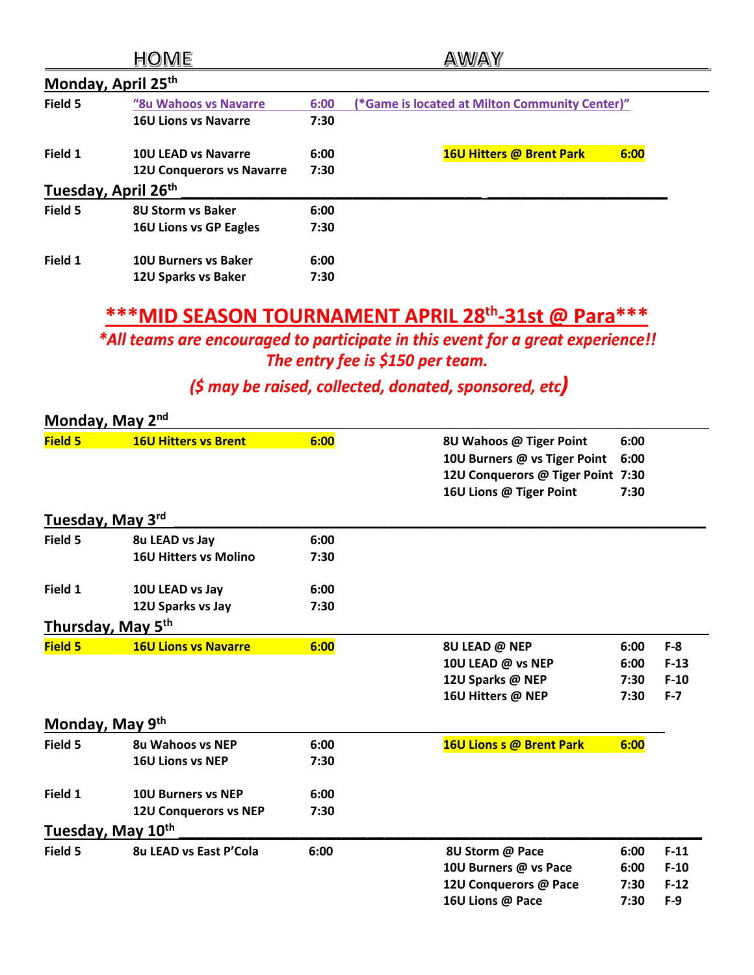|                     | HOME                             |      | AWAY                                           |
|---------------------|----------------------------------|------|------------------------------------------------|
| Monday, April 25th  |                                  |      |                                                |
| Field 5             | "8u Wahoos vs Navarre            | 6:00 | (*Game is located at Milton Community Center)" |
|                     | <b>16U Lions vs Navarre</b>      | 7:30 |                                                |
| Field 1             | <b>10U LEAD vs Navarre</b>       | 6:00 | <b>16U Hitters @ Brent Park</b><br>6:00        |
|                     | <b>12U Conquerors vs Navarre</b> | 7:30 |                                                |
| Tuesday, April 26th |                                  |      |                                                |
| Field 5             | <b>8U Storm vs Baker</b>         | 6:00 |                                                |
|                     | <b>16U Lions vs GP Eagles</b>    | 7:30 |                                                |
| Field 1             | <b>10U Burners vs Baker</b>      | 6:00 |                                                |
|                     | 12U Sparks vs Baker              | 7:30 |                                                |

## \*\*\* MID SEASON TOURNAMENT APRIL 28th-31st @ Para\*\*\*

\*All teams are encouraged to participate in this event for a great experience!! The entry fee is \$150 per team.

(\$ may be raised, collected, donated, sponsored, etc)

| Monday, May 2 <sup>nd</sup> |                               |      |                                   |      |         |
|-----------------------------|-------------------------------|------|-----------------------------------|------|---------|
| Field 5                     | <b>16U Hitters vs Brent</b>   | 6:00 | 8U Wahoos @ Tiger Point           | 6:00 |         |
|                             |                               |      | 10U Burners @ vs Tiger Point      | 6:00 |         |
|                             |                               |      | 12U Conquerors @ Tiger Point 7:30 |      |         |
|                             |                               |      | 16U Lions @ Tiger Point           | 7:30 |         |
| Tuesday, May 3rd            |                               |      |                                   |      |         |
| Field 5                     | 8u LEAD vs Jay                | 6:00 |                                   |      |         |
|                             | <b>16U Hitters vs Molino</b>  | 7:30 |                                   |      |         |
| Field 1                     | 10U LEAD vs Jay               | 6:00 |                                   |      |         |
|                             | 12U Sparks vs Jay             | 7:30 |                                   |      |         |
|                             | Thursday, May 5th             |      |                                   |      |         |
| Field 5                     | <b>16U Lions vs Navarre</b>   | 6:00 | 8U LEAD @ NEP                     | 6:00 | $F-8$   |
|                             |                               |      | 10U LEAD @ vs NEP                 | 6:00 | $F-13$  |
|                             |                               |      | 12U Sparks @ NEP                  | 7:30 | $F-10$  |
|                             |                               |      | 16U Hitters @ NEP                 | 7:30 | $F - 7$ |
| Monday, May 9th             |                               |      |                                   |      |         |
| Field 5                     | <b>8u Wahoos vs NEP</b>       | 6:00 | 16U Lions s @ Brent Park          | 6:00 |         |
|                             | <b>16U Lions vs NEP</b>       | 7:30 |                                   |      |         |
| Field 1                     | <b>10U Burners vs NEP</b>     | 6:00 |                                   |      |         |
|                             | <b>12U Conquerors vs NEP</b>  | 7:30 |                                   |      |         |
|                             | Tuesday, May 10th             |      |                                   |      |         |
| Field 5                     | <b>8u LEAD vs East P'Cola</b> | 6:00 | 8U Storm @ Pace                   | 6:00 | $F-11$  |
|                             |                               |      | 10U Burners @ vs Pace             | 6:00 | $F-10$  |
|                             |                               |      | 12U Conquerors @ Pace             | 7:30 | $F-12$  |
|                             |                               |      | 16U Lions @ Pace                  | 7:30 | $F-9$   |